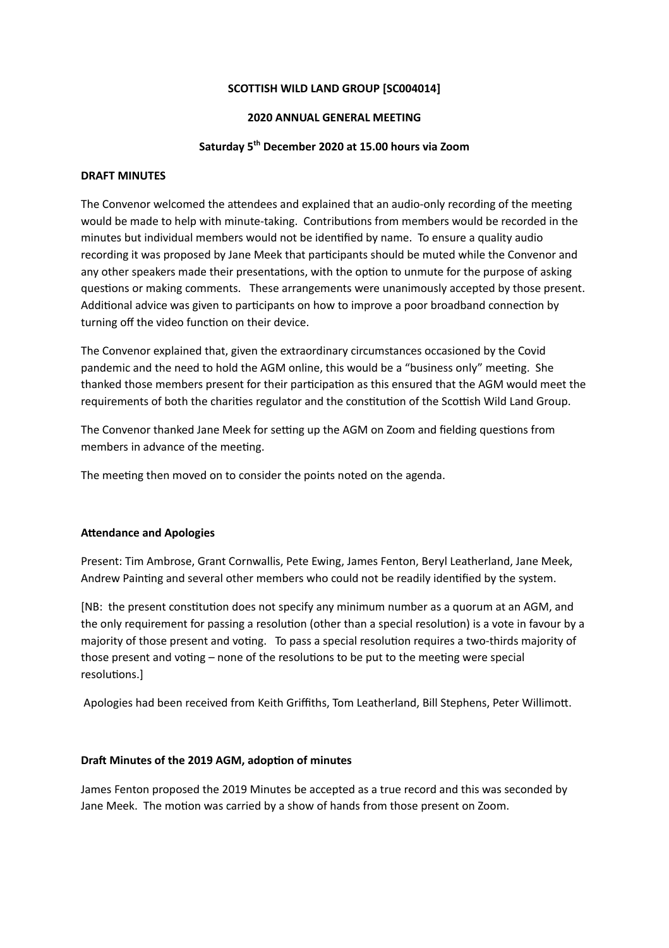### **SCOTTISH WILD LAND GROUP [SC004014]**

### **2020 ANNUAL GENERAL MEETING**

## **Saturday 5 th December 2020 at 15.00 hours via Zoom**

### **DRAFT MINUTES**

The Convenor welcomed the attendees and explained that an audio-only recording of the meeting would be made to help with minute-taking. Contributions from members would be recorded in the minutes but individual members would not be idenfied by name. To ensure a quality audio recording it was proposed by Jane Meek that participants should be muted while the Convenor and any other speakers made their presentations, with the option to unmute for the purpose of asking questions or making comments. These arrangements were unanimously accepted by those present. Additional advice was given to participants on how to improve a poor broadband connection by turning off the video function on their device.

The Convenor explained that, given the extraordinary circumstances occasioned by the Covid pandemic and the need to hold the AGM online, this would be a "business only" meeting. She thanked those members present for their participation as this ensured that the AGM would meet the requirements of both the charities regulator and the constitution of the Scottish Wild Land Group.

The Convenor thanked Jane Meek for setting up the AGM on Zoom and fielding questions from members in advance of the meeting.

The meeting then moved on to consider the points noted on the agenda.

## **Attendance and Apologies**

Present: Tim Ambrose, Grant Cornwallis, Pete Ewing, James Fenton, Beryl Leatherland, Jane Meek, Andrew Painting and several other members who could not be readily identified by the system.

[NB: the present constitution does not specify any minimum number as a quorum at an AGM, and the only requirement for passing a resolution (other than a special resolution) is a vote in favour by a majority of those present and voting. To pass a special resolution requires a two-thirds majority of those present and voting – none of the resolutions to be put to the meeting were special resolutions.]

Apologies had been received from Keith Griffiths, Tom Leatherland, Bill Stephens, Peter Willimott.

### **Dra Minutes of the 2019 AGM, adopon of minutes**

James Fenton proposed the 2019 Minutes be accepted as a true record and this was seconded by Jane Meek. The motion was carried by a show of hands from those present on Zoom.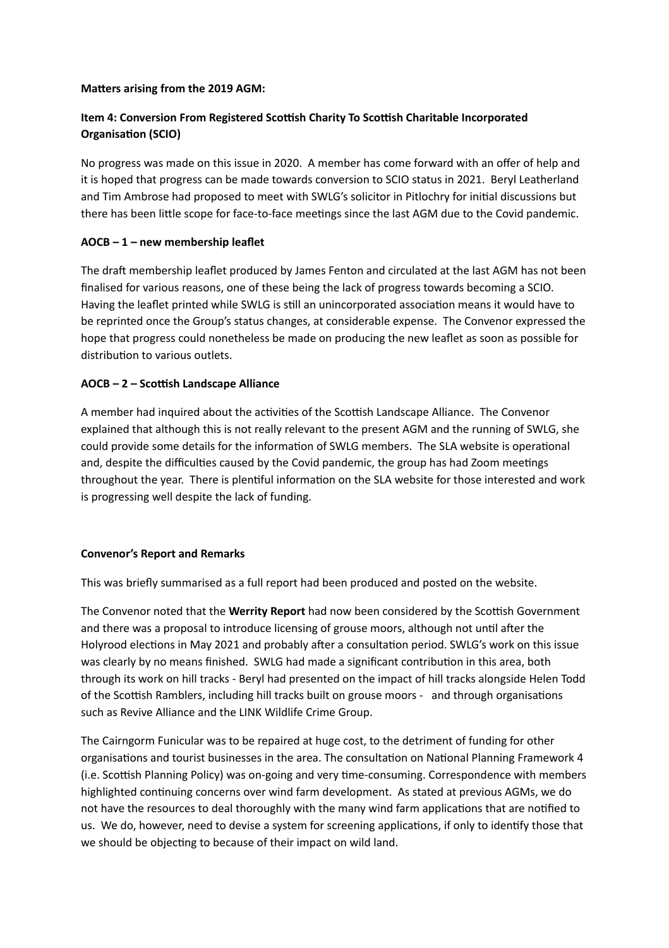## **Matters arising from the 2019 AGM:**

# **Item 4: Conversion From Registered Scosh Charity To Scosh Charitable Incorporated Organisation (SCIO)**

No progress was made on this issue in 2020. A member has come forward with an offer of help and it is hoped that progress can be made towards conversion to SCIO status in 2021. Beryl Leatherland and Tim Ambrose had proposed to meet with SWLG's solicitor in Pitlochry for initial discussions but there has been little scope for face-to-face meetings since the last AGM due to the Covid pandemic.

# **AOCB – 1 – new membership leaflet**

The draft membership leaflet produced by James Fenton and circulated at the last AGM has not been finalised for various reasons, one of these being the lack of progress towards becoming a SCIO. Having the leaflet printed while SWLG is still an unincorporated association means it would have to be reprinted once the Group's status changes, at considerable expense. The Convenor expressed the hope that progress could nonetheless be made on producing the new leaflet as soon as possible for distribution to various outlets.

# **AOCB – 2 – Scosh Landscape Alliance**

A member had inquired about the activities of the Scottish Landscape Alliance. The Convenor explained that although this is not really relevant to the present AGM and the running of SWLG, she could provide some details for the information of SWLG members. The SLA website is operational and, despite the difficulties caused by the Covid pandemic, the group has had Zoom meetings throughout the year. There is plentiful information on the SLA website for those interested and work is progressing well despite the lack of funding.

## **Convenor's Report and Remarks**

This was briefly summarised as a full report had been produced and posted on the website.

The Convenor noted that the **Werrity Report** had now been considered by the Scottish Government and there was a proposal to introduce licensing of grouse moors, although not until after the Holyrood elections in May 2021 and probably after a consultation period. SWLG's work on this issue was clearly by no means finished. SWLG had made a significant contribution in this area, both through its work on hill tracks - Beryl had presented on the impact of hill tracks alongside Helen Todd of the Scottish Ramblers, including hill tracks built on grouse moors - and through organisations such as Revive Alliance and the LINK Wildlife Crime Group.

The Cairngorm Funicular was to be repaired at huge cost, to the detriment of funding for other organisations and tourist businesses in the area. The consultation on National Planning Framework 4 (i.e. Scottish Planning Policy) was on-going and very time-consuming. Correspondence with members highlighted continuing concerns over wind farm development. As stated at previous AGMs, we do not have the resources to deal thoroughly with the many wind farm applications that are notified to us. We do, however, need to devise a system for screening applications, if only to identify those that we should be objecting to because of their impact on wild land.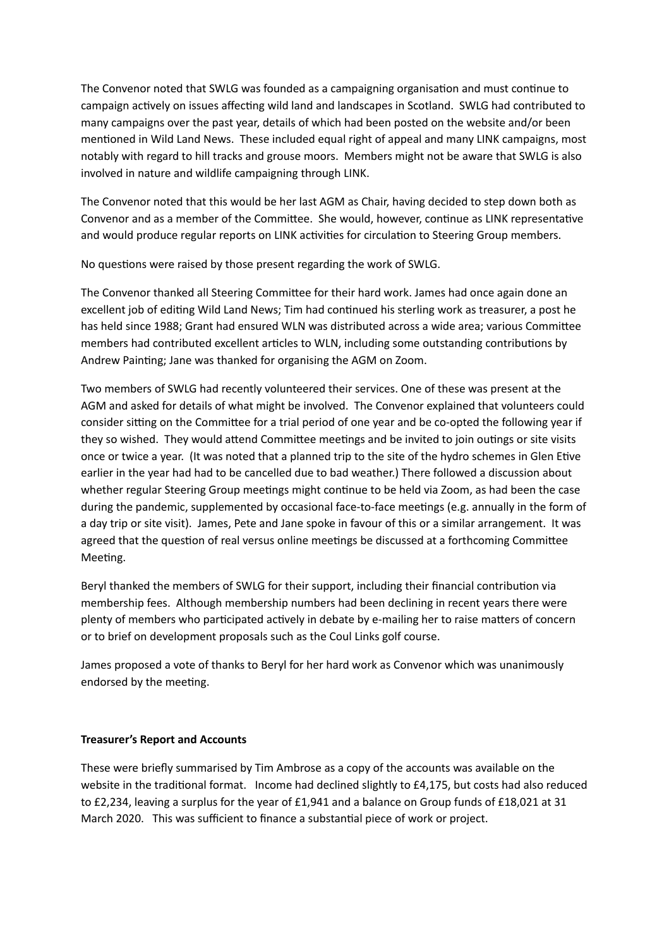The Convenor noted that SWLG was founded as a campaigning organisation and must continue to campaign actively on issues affecting wild land and landscapes in Scotland. SWLG had contributed to many campaigns over the past year, details of which had been posted on the website and/or been mentioned in Wild Land News. These included equal right of appeal and many LINK campaigns, most notably with regard to hill tracks and grouse moors. Members might not be aware that SWLG is also involved in nature and wildlife campaigning through LINK.

The Convenor noted that this would be her last AGM as Chair, having decided to step down both as Convenor and as a member of the Committee. She would, however, continue as LINK representative and would produce regular reports on LINK activities for circulation to Steering Group members.

No questions were raised by those present regarding the work of SWLG.

The Convenor thanked all Steering Committee for their hard work. James had once again done an excellent job of editing Wild Land News; Tim had continued his sterling work as treasurer, a post he has held since 1988; Grant had ensured WLN was distributed across a wide area; various Committee members had contributed excellent articles to WLN, including some outstanding contributions by Andrew Painting; Jane was thanked for organising the AGM on Zoom.

Two members of SWLG had recently volunteered their services. One of these was present at the AGM and asked for details of what might be involved. The Convenor explained that volunteers could consider sitting on the Committee for a trial period of one year and be co-opted the following year if they so wished. They would attend Committee meetings and be invited to join outings or site visits once or twice a year. (It was noted that a planned trip to the site of the hydro schemes in Glen Etive earlier in the year had had to be cancelled due to bad weather.) There followed a discussion about whether regular Steering Group meetings might continue to be held via Zoom, as had been the case during the pandemic, supplemented by occasional face-to-face meetings (e.g. annually in the form of a day trip or site visit). James, Pete and Jane spoke in favour of this or a similar arrangement. It was agreed that the question of real versus online meetings be discussed at a forthcoming Committee Meeting.

Beryl thanked the members of SWLG for their support, including their financial contribution via membership fees. Although membership numbers had been declining in recent years there were plenty of members who participated actively in debate by e-mailing her to raise matters of concern or to brief on development proposals such as the Coul Links golf course.

James proposed a vote of thanks to Beryl for her hard work as Convenor which was unanimously endorsed by the meeting.

## **Treasurer's Report and Accounts**

These were briefly summarised by Tim Ambrose as a copy of the accounts was available on the website in the traditional format. Income had declined slightly to £4,175, but costs had also reduced to £2,234, leaving a surplus for the year of £1,941 and a balance on Group funds of £18,021 at 31 March 2020. This was sufficient to finance a substantial piece of work or project.